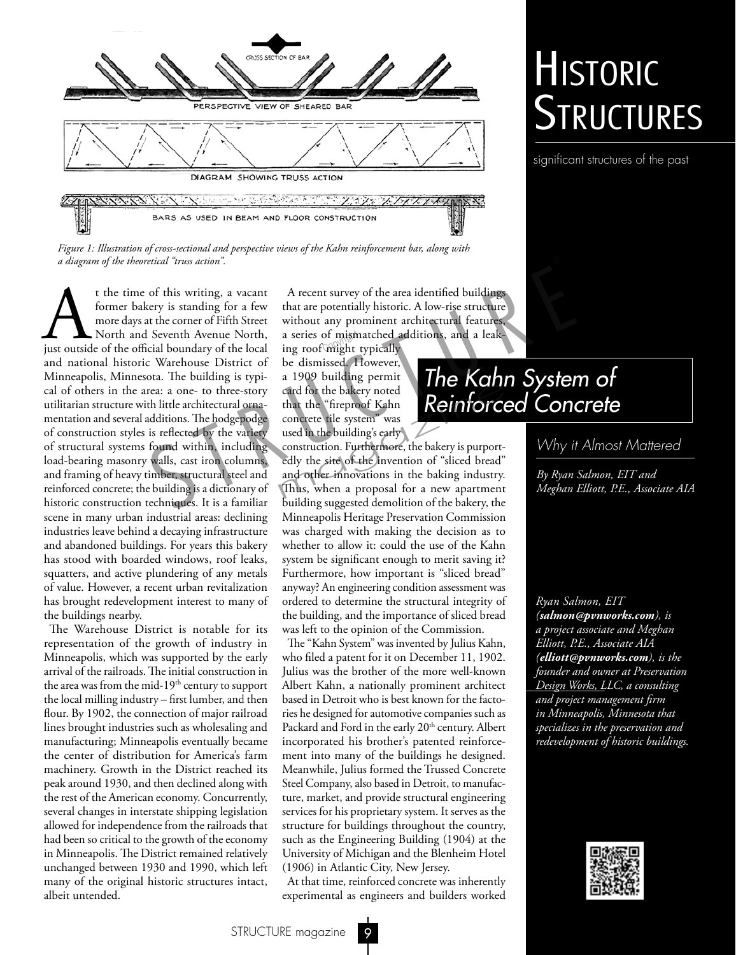

## **HISTORIC** Structures

significant structures of the past

*Figure 1: Illustration of cross-sectional and perspective views of the Kahn reinforcement bar, along with* 

t the time of this writing, a vacant former bakery is standing for a few more days at the corner of Fifth Street North, just outside of the official boundary of the local former bakery is standing for a few more days at the corner of Fifth Street North and Seventh Avenue North, and national historic Warehouse District of Minneapolis, Minnesota. The building is typical of others in the area: a one- to three-story utilitarian structure with little architectural ornamentation and several additions. The hodgepodge of construction styles is reflected by the variety of structural systems found within, including load-bearing masonry walls, cast iron columns, and framing of heavy timber, structural steel and reinforced concrete; the building is a dictionary of historic construction techniques. It is a familiar scene in many urban industrial areas: declining industries leave behind a decaying infrastructure and abandoned buildings. For years this bakery has stood with boarded windows, roof leaks, squatters, and active plundering of any metals of value. However, a recent urban revitalization has brought redevelopment interest to many of the buildings nearby. *a diagram of the theoretical "rruss action".*<br> **A** the time of this writing, a vacant<br>
for a few that are potentially historic. A low-rise structure<br>
more days at the corner of Fifth Street without any prominent achitectu

The Warehouse District is notable for its representation of the growth of industry in Minneapolis, which was supported by the early arrival of the railroads. The initial construction in the area was from the mid- $19<sup>th</sup>$  century to support the local milling industry – first lumber, and then flour. By 1902, the connection of major railroad lines brought industries such as wholesaling and manufacturing; Minneapolis eventually became the center of distribution for America's farm machinery. Growth in the District reached its peak around 1930, and then declined along with the rest of the American economy. Concurrently, several changes in interstate shipping legislation allowed for independence from the railroads that had been so critical to the growth of the economy in Minneapolis. The District remained relatively unchanged between 1930 and 1990, which left many of the original historic structures intact, albeit untended.

A recent survey of the area identified buildings that are potentially historic. A low-rise structure without any prominent architectural features, a series of mismatched additions, and a leaka series of mismatched a<br>ing roof might typically

be dismissed. However, a 1909 building permit card for the bakery noted that the "fireproof Kahn concrete tile system" was used in the building's early

construction. Furthermore, the bakery is purportedly the site of the invention of "sliced bread" and other innovations in the baking industry. card for the bakery noted<br>that the "fireproof Kahn<br>concrete tile system" was<br>used in the building's early<br>construction. Furthermore, the bakery is purport-<br>edly the site of the invention of "sliced bread"<br>and other innovat building suggested demolition of the bakery, the Minneapolis Heritage Preservation Commission was charged with making the decision as to whether to allow it: could the use of the Kahn system be significant enough to merit saving it? Furthermore, how important is "sliced bread" anyway? An engineering condition assessment was ordered to determine the structural integrity of the building, and the importance of sliced bread was left to the opinion of the Commission.

The "Kahn System" was invented by Julius Kahn, who filed a patent for it on December 11, 1902. Julius was the brother of the more well-known Albert Kahn, a nationally prominent architect based in Detroit who is best known for the factories he designed for automotive companies such as Packard and Ford in the early 20<sup>th</sup> century. Albert incorporated his brother's patented reinforcement into many of the buildings he designed. Meanwhile, Julius formed the Trussed Concrete Steel Company, also based in Detroit, to manufacture, market, and provide structural engineering services for his proprietary system. It serves as the structure for buildings throughout the country, such as the Engineering Building (1904) at the University of Michigan and the Blenheim Hotel (1906) in Atlantic City, New Jersey.

At that time, reinforced concrete was inherently experimental as engineers and builders worked

## *The Kahn System of Reinforced Concrete*

## *Why it Almost Mattered*

*By Ryan Salmon, EIT and Meghan Elliott, P.E., Associate AIA*

*Ryan Salmon, EIT (salmon@pvnworks.com), is a project associate and Meghan Elliott, P.E., Associate AIA (elliott@pvnworks.com), is the founder and owner at Preservation Design Works, LLC, a consulting and project management firm in Minneapolis, Minnesota that specializes in the preservation and redevelopment of historic buildings.*



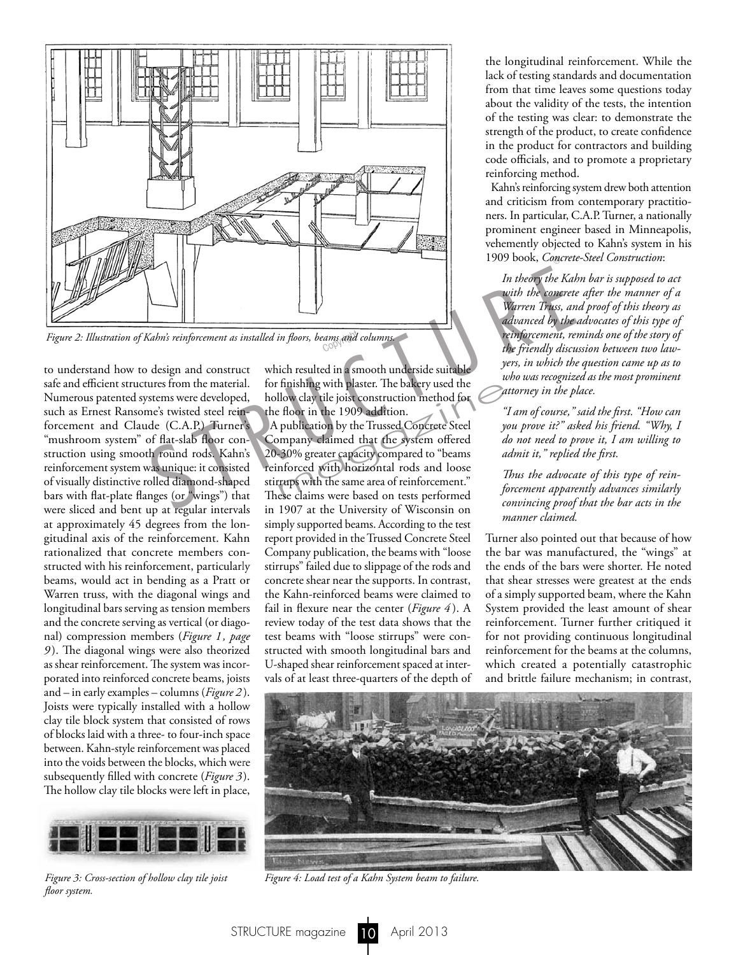

Figure 2: Illustration of Kahn's reinforcement as installed in floors, beams and columns.

to understand how to design and construct safe and efficient structures from the material. Numerous patented systems were developed, such as Ernest Ransome's twisted steel reinforcement and Claude (C.A.P.) Turner's "mushroom system" of flat-slab floor construction using smooth round rods. Kahn's reinforcement system was unique: it consisted of visually distinctive rolled diamond-shaped bars with flat-plate flanges (or "wings") that were sliced and bent up at regular intervals at approximately 45 degrees from the longitudinal axis of the reinforcement. Kahn rationalized that concrete members constructed with his reinforcement, particularly beams, would act in bending as a Pratt or Warren truss, with the diagonal wings and longitudinal bars serving as tension members and the concrete serving as vertical (or diagonal) compression members (*Figure 1, page 9* ). The diagonal wings were also theorized as shear reinforcement. The system was incorporated into reinforced concrete beams, joists and – in early examples – columns (*Figure 2* ). Joists were typically installed with a hollow clay tile block system that consisted of rows of blocks laid with a three- to four-inch space between. Kahn-style reinforcement was placed into the voids between the blocks, which were subsequently filled with concrete (*Figure 3*). The hollow clay tile blocks were left in place,



*Figure 3: Cross-section of hollow clay tile joist floor system.*

which resulted in a smooth underside suitable for finishing with plaster. The bakery used the hollow clay tile joist construction method for the floor in the 1909 addition.

A publication by the Trussed Concrete Steel Company claimed that the system offered 20-30% greater capacity compared to "beams reinforced with horizontal rods and loose stirrups with the same area of reinforcement." These claims were based on tests performed in 1907 at the University of Wisconsin on simply supported beams. According to the test report provided in the Trussed Concrete Steel Company publication, the beams with "loose stirrups" failed due to slippage of the rods and concrete shear near the supports. In contrast, the Kahn-reinforced beams were claimed to fail in flexure near the center (*Figure 4* ). A review today of the test data shows that the test beams with "loose stirrups" were constructed with smooth longitudinal bars and U-shaped shear reinforcement spaced at intervals of at least three-quarters of the depth of finishing with plaster. The bakery used the<br>llow clay tile joist construction method for<br>floor in the 1909 addition.<br>publication by the Trussed Concrete Steel<br>mpany claimed that the system offered<br> $\alpha$ -30% greater capacit

the longitudinal reinforcement. While the lack of testing standards and documentation from that time leaves some questions today about the validity of the tests, the intention of the testing was clear: to demonstrate the strength of the product, to create confidence in the product for contractors and building code officials, and to promote a proprietary reinforcing method.

Kahn's reinforcing system drew both attention and criticism from contemporary practitioners. In particular, C.A.P. Turner, a nationally prominent engineer based in Minneapolis, vehemently objected to Kahn's system in his 1909 book, *Concrete-Steel Construction*:

*In theory the Kahn bar is supposed to act with the concrete after the manner of a Warren Truss, and proof of this theory as advanced by the advocates of this type of reinforcement, reminds one of the story of the friendly discussion between two lawyers, in which the question came up as to who was recognized as the most prominent attorney in the place.*

*"I am of course," said the first. "How can you prove it?" asked his friend. "Why, I do not need to prove it, I am willing to admit it," replied the first.*

*Thus the advocate of this type of reinforcement apparently advances similarly convincing proof that the bar acts in the manner claimed.*

Turner also pointed out that because of how the bar was manufactured, the "wings" at the ends of the bars were shorter. He noted that shear stresses were greatest at the ends of a simply supported beam, where the Kahn System provided the least amount of shear reinforcement. Turner further critiqued it for not providing continuous longitudinal reinforcement for the beams at the columns, which created a potentially catastrophic and brittle failure mechanism; in contrast,



*Figure 4: Load test of a Kahn System beam to failure.*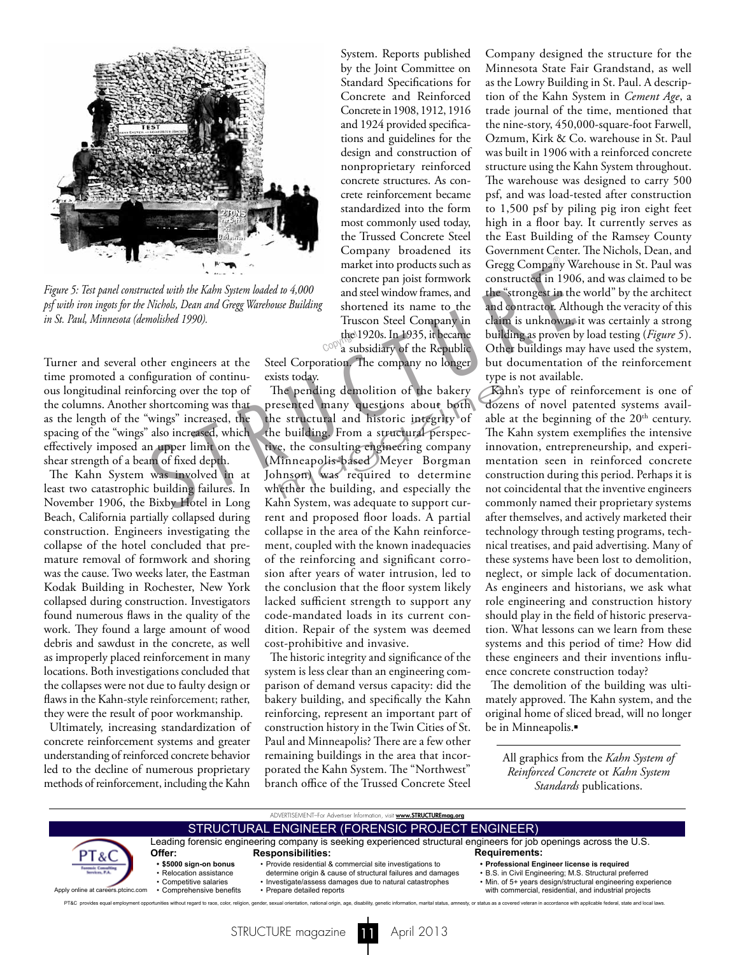

*Figure 5: Test panel constructed with the Kahn System loaded to 4,000 psf with iron ingots for the Nichols, Dean and Gregg Warehouse Building in St. Paul, Minnesota (demolished 1990).*

Turner and several other engineers at the time promoted a configuration of continuous longitudinal reinforcing over the top of the columns. Another shortcoming was that as the length of the "wings" increased, the spacing of the "wings" also increased, which effectively imposed an upper limit on the shear strength of a beam of fixed depth.

The Kahn System was involved in at least two catastrophic building failures. In November 1906, the Bixby Hotel in Long Beach, California partially collapsed during construction. Engineers investigating the collapse of the hotel concluded that premature removal of formwork and shoring was the cause. Two weeks later, the Eastman Kodak Building in Rochester, New York collapsed during construction. Investigators found numerous flaws in the quality of the work. They found a large amount of wood debris and sawdust in the concrete, as well as improperly placed reinforcement in many locations. Both investigations concluded that the collapses were not due to faulty design or flaws in the Kahn-style reinforcement; rather, they were the result of poor workmanship.

Ultimately, increasing standardization of concrete reinforcement systems and greater understanding of reinforced concrete behavior led to the decline of numerous proprietary methods of reinforcement, including the Kahn

System. Reports published by the Joint Committee on Standard Specifications for Concrete and Reinforced Concrete in 1908, 1912, 1916 and 1924 provided specifications and guidelines for the design and construction of nonproprietary reinforced concrete structures. As concrete reinforcement became standardized into the form most commonly used today, the Trussed Concrete Steel Company broadened its market into products such as concrete pan joist formwork and steel window frames, and shortened its name to the Truscon Steel Company in the 1920s. In 1935, it became the 1920s. In 1935, it became<br>a subsidiary of the Republic

Steel Corporation. The company no longer exists today.

The pending demolition of the bakery presented many questions about both the structural and historic integrity of the building. From a structural perspective, the consulting engineering company (Minneapolis-based Meyer Borgman Johnson) was required to determine whether the building, and especially the Kahn System, was adequate to support current and proposed floor loads. A partial collapse in the area of the Kahn reinforcement, coupled with the known inadequacies of the reinforcing and significant corrosion after years of water intrusion, led to the conclusion that the floor system likely lacked sufficient strength to support any code-mandated loads in its current condition. Repair of the system was deemed cost-prohibitive and invasive. market into products such as Gregg Company Werd with the Kahn System loaded to 4,000 and steel window frames, and the "strongest in the Nichols, Dean and Gregg Warehouse Building and steel window frames, and the "strongest he pending demolition of the bakery<br>
Examplement and historic integrity of able<br>
Extructural and historic integrity of able<br>
Extructural and historic integrity of able<br>
Extructural perspections of the consulting engineerin

> The historic integrity and significance of the system is less clear than an engineering comparison of demand versus capacity: did the bakery building, and specifically the Kahn reinforcing, represent an important part of construction history in the Twin Cities of St. Paul and Minneapolis? There are a few other remaining buildings in the area that incorporated the Kahn System. The "Northwest" branch office of the Trussed Concrete Steel

Company designed the structure for the Minnesota State Fair Grandstand, as well as the Lowry Building in St. Paul. A description of the Kahn System in *Cement Age*, a trade journal of the time, mentioned that the nine-story, 450,000-square-foot Farwell, Ozmum, Kirk & Co. warehouse in St. Paul was built in 1906 with a reinforced concrete structure using the Kahn System throughout. The warehouse was designed to carry 500 psf, and was load-tested after construction to 1,500 psf by piling pig iron eight feet high in a floor bay. It currently serves as the East Building of the Ramsey County Government Center. The Nichols, Dean, and Gregg Company Warehouse in St. Paul was constructed in 1906, and was claimed to be the "strongest in the world" by the architect and contractor. Although the veracity of this claim is unknown, it was certainly a strong building as proven by load testing (*Figure 5*). Other buildings may have used the system, but documentation of the reinforcement type is not available.

Kahn's type of reinforcement is one of dozens of novel patented systems available at the beginning of the  $20<sup>th</sup>$  century. The Kahn system exemplifies the intensive innovation, entrepreneurship, and experimentation seen in reinforced concrete construction during this period. Perhaps it is not coincidental that the inventive engineers commonly named their proprietary systems after themselves, and actively marketed their technology through testing programs, technical treatises, and paid advertising. Many of these systems have been lost to demolition, neglect, or simple lack of documentation. As engineers and historians, we ask what role engineering and construction history should play in the field of historic preservation. What lessons can we learn from these systems and this period of time? How did these engineers and their inventions influence concrete construction today?

The demolition of the building was ultimately approved. The Kahn system, and the original home of sliced bread, will no longer be in Minneapolis.

All graphics from the *Kahn System of Reinforced Concrete* or *Kahn System Standards* publications.



STRUCTURE magazine **11** April 2013